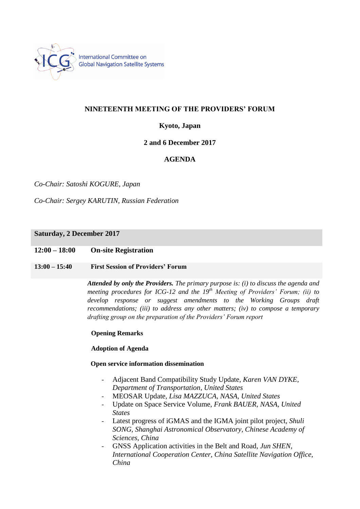

## **NINETEENTH MEETING OF THE PROVIDERS' FORUM**

# **Kyoto, Japan**

### **2 and 6 December 2017**

## **AGENDA**

*Co-Chair: Satoshi KOGURE, Japan*

*Co-Chair: Sergey KARUTIN, Russian Federation*

### **Saturday, 2 December 2017**

### **12:00 – 18:00 On-site Registration**

### **13:00 – 15:40 First Session of Providers' Forum**

*Attended by only the Providers. The primary purpose is: (i) to discuss the agenda and meeting procedures for ICG-12 and the 19th Meeting of Providers' Forum; (ii) to develop response or suggest amendments to the Working Groups draft recommendations; (iii) to address any other matters; (iv) to compose a temporary drafting group on the preparation of the Providers' Forum report*

### **Opening Remarks**

### **Adoption of Agenda**

### **Open service information dissemination**

- Adjacent Band Compatibility Study Update, *Karen VAN DYKE, Department of Transportation, United States*
- MEOSAR Update, *Lisa MAZZUCA, NASA, United States*
- Update on Space Service Volume, *Frank BAUER, NASA, United States*
- Latest progress of iGMAS and the IGMA joint pilot project, *Shuli SONG, Shanghai Astronomical Observatory, Chinese Academy of Sciences, China*
- GNSS Application activities in the Belt and Road, *Jun SHEN, International Cooperation Center, China Satellite Navigation Office, China*